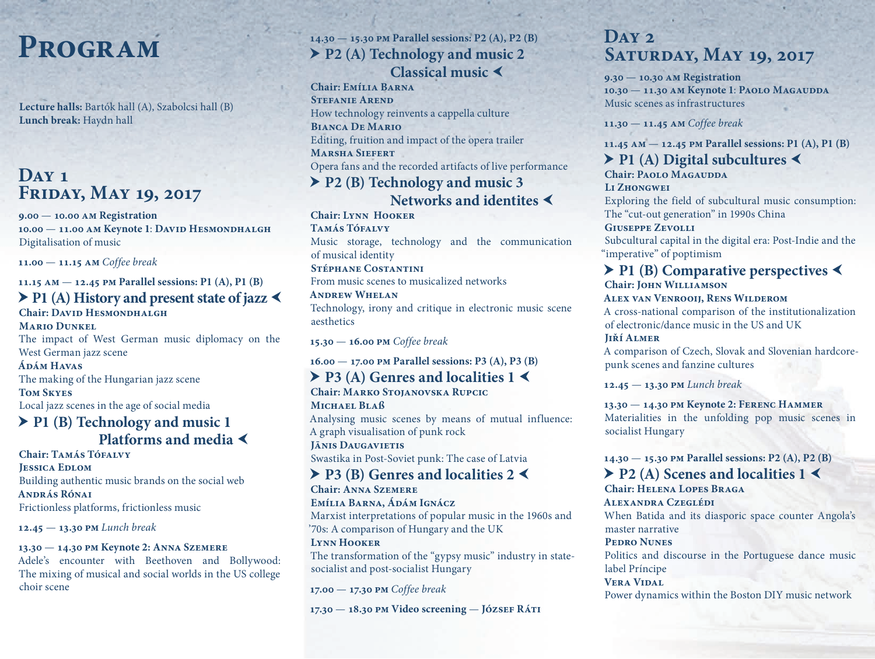# **Program**

**Lecture halls:** Bartók hall (A), Szabolcsi hall (B) **Lunch break:** Haydn hall

### **Day 1 Friday, May 19, 2017**

**9.00** — **10.00 am Registration 10.00** — **11.00 am Keynote 1**: **David Hesmondhalgh** Digitalisation of music

**11.00** — **11.15 am** *Coffee break*

#### **11.15 am** — **12.45 pm Parallel sessions: P1 (A), P1 (B)**

### **P1 (A) History and present state of jazz Chair: David Hesmondhalgh**

**Mario Dunkel** The impact of West German music diplomacy on the West German jazz scene

**Ádám Havas**

The making of the Hungarian jazz scene

**Tom Skyes**

Local jazz scenes in the age of social media

### **P1 (B) Technology and music 1 Platforms and media**

Chair: TAMÁS TÓFALVY **Jessica Edlom** Building authentic music brands on the social web **András Rónai** Frictionless platforms, frictionless music

**12.45** — **13.30 pm** *Lunch break*

#### **13.30** — **14.30 pm Keynote 2: Anna Szemere**

Adele's encounter with Beethoven and Bollywood: The mixing of musical and social worlds in the US college choir scene

### **14.30** — **15.30 pm Parallel sessions: P2 (A), P2 (B) P2 (A) Technology and music 2 Classical music**

**Chair: Emília Barna STEFANIE AREND** How technology reinvents a cappella culture **Bianca De Mario** Editing, fruition and impact of the opera trailer **Marsha Siefert** Opera fans and the recorded artifacts of live performance

### **P2 (B) Technology and music 3 Networks and identites**

**Chair: Lynn Hooker TAMÁS TÓFALVY** Music storage, technology and the communication of musical identity **Stéphane Costantini** 

From music scenes to musicalized networks

**Andrew Whelan** Technology, irony and critique in electronic music scene aesthetics

**15.30** — **16.00 pm** *Coffee break*

#### **16.00** — **17.00 pm Parallel sessions: P3 (A), P3 (B)**

#### **▶ P3 (A) Genres and localities 1 Chair: Marko Stojanovska Rupcic**

**Michael Blaß** Analysing music scenes by means of mutual influence: A graph visualisation of punk rock **Jānis Daugavietis**

Swastika in Post-Soviet punk: The case of Latvia

### **P3 (B) Genres and localities 2**

**Chair: Anna Szemere Emília Barna, Ádám Ignácz** Marxist interpretations of popular music in the 1960s and '70s: A comparison of Hungary and the UK

#### **Lynn Hooker**

The transformation of the "gypsy music" industry in statesocialist and post-socialist Hungary

**17.00** — **17.30 pm** *Coffee break*

**17.30** — **18.30 pm Video screening** — **József Ráti**

### **Day 2 Saturday, May 19, 2017**

**9.30** — **10.30 am Registration 10.30** — **11.30 am Keynote 1**: **Paolo Magaudda** Music scenes as infrastructures

**11.30** — **11.45 am** *Coffee break*

**11.45 am** — **12.45 pm Parallel sessions: P1 (A), P1 (B)**

### **P1 (A) Digital subcultures**

**Chair: PAOLO MAGAUDDA Li Zhongwei** Exploring the field of subcultural music consumption: The "cut-out generation" in 1990s China **Giuseppe Zevolli** Subcultural capital in the digital era: Post-Indie and the "imperative" of poptimism

### **P1 (B) Comparative perspectives Chair: John Williamson**

#### **Alex van Venrooij, Rens Wilderom**

A cross-national comparison of the institutionalization of electronic/dance music in the US and UK

**Jiří Almer**

A comparison of Czech, Slovak and Slovenian hardcorepunk scenes and fanzine cultures

**12.45** — **13.30 pm** *Lunch break*

#### **13.30** — **14.30 pm Keynote 2: Ferenc Hammer**

Materialities in the unfolding pop music scenes in socialist Hungary

### **14.30** — **15.30 pm Parallel sessions: P2 (A), P2 (B)**

### ▶ P<sub>2</sub> (A) Scenes and localities 1

**Chair: Helena Lopes Braga Alexandra Czeglédi** When Batida and its diasporic space counter Angola's master narrative

#### **Pedro Nunes**

Politics and discourse in the Portuguese dance music label Príncipe

### **Vera Vidal**

Power dynamics within the Boston DIY music network